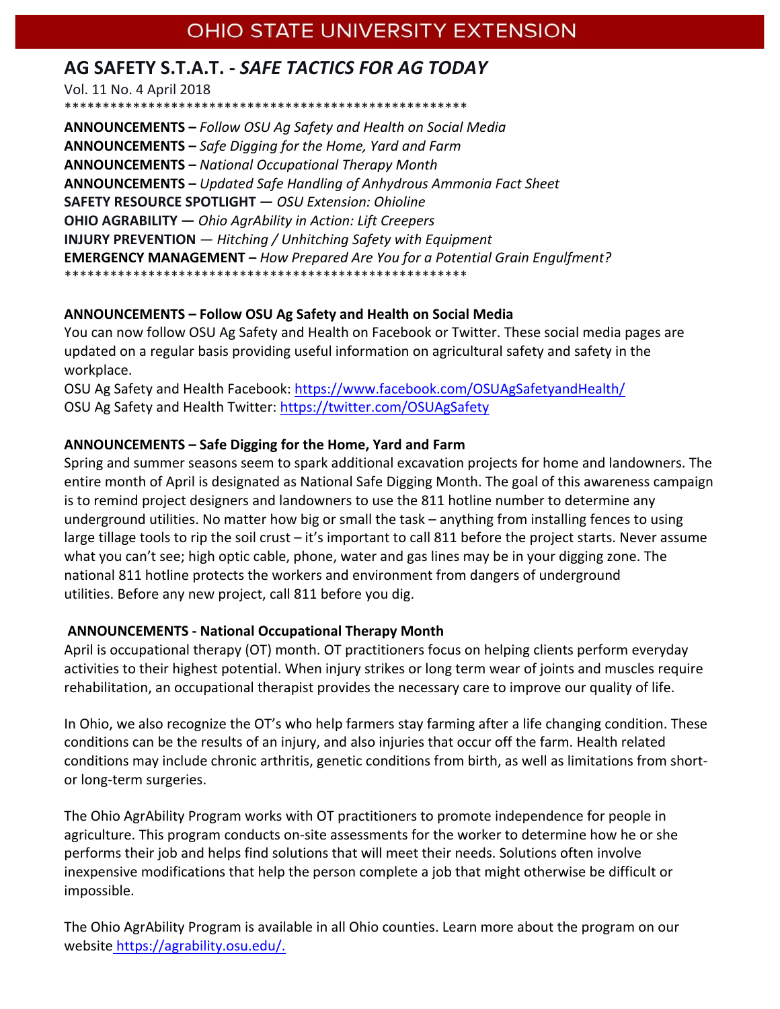# OHIO STATE UNIVERSITY EXTENSION

# AG SAFETY S.T.A.T. - SAFE TACTICS FOR AG TODAY

Vol. 11 No. 4 April 2018

**ANNOUNCEMENTS - Follow OSU Ag Safety and Health on Social Media** ANNOUNCEMENTS - Safe Digging for the Home, Yard and Farm **ANNOUNCEMENTS - National Occupational Therapy Month ANNOUNCEMENTS - Updated Safe Handling of Anhydrous Ammonia Fact Sheet** SAFETY RESOURCE SPOTLIGHT - OSU Extension: Ohioline **OHIO AGRABILITY** - Ohio AgrAbility in Action: Lift Creepers **INJURY PREVENTION**  $-$  Hitching / Unhitching Safety with Equipment **EMERGENCY MANAGEMENT** - How Prepared Are You for a Potential Grain Engulfment? \*\*\*\*\*\*\*\*\*\*\*\*\*\*\*\*\*\*\*\*\*

# ANNOUNCEMENTS - Follow OSU Ag Safety and Health on Social Media

You can now follow OSU Ag Safety and Health on Facebook or Twitter. These social media pages are updated on a regular basis providing useful information on agricultural safety and safety in the workplace.

OSU Ag Safety and Health Facebook: https://www.facebook.com/OSUAgSafetyandHealth/ OSU Ag Safety and Health Twitter: https://twitter.com/OSUAgSafety

# ANNOUNCEMENTS – Safe Digging for the Home, Yard and Farm

Spring and summer seasons seem to spark additional excavation projects for home and landowners. The entire month of April is designated as National Safe Digging Month. The goal of this awareness campaign is to remind project designers and landowners to use the 811 hotline number to determine any underground utilities. No matter how big or small the task - anything from installing fences to using large tillage tools to rip the soil crust – it's important to call 811 before the project starts. Never assume what you can't see; high optic cable, phone, water and gas lines may be in your digging zone. The national 811 hotline protects the workers and environment from dangers of underground utilities. Before any new project, call 811 before you dig.

## **ANNOUNCEMENTS - National Occupational Therapy Month**

April is occupational therapy (OT) month. OT practitioners focus on helping clients perform everyday activities to their highest potential. When injury strikes or long term wear of joints and muscles require rehabilitation, an occupational therapist provides the necessary care to improve our quality of life.

In Ohio, we also recognize the OT's who help farmers stay farming after a life changing condition. These conditions can be the results of an injury, and also injuries that occur off the farm. Health related conditions may include chronic arthritis, genetic conditions from birth, as well as limitations from shortor long-term surgeries.

The Ohio AgrAbility Program works with OT practitioners to promote independence for people in agriculture. This program conducts on-site assessments for the worker to determine how he or she performs their job and helps find solutions that will meet their needs. Solutions often involve inexpensive modifications that help the person complete a job that might otherwise be difficult or impossible.

The Ohio AgrAbility Program is available in all Ohio counties. Learn more about the program on our website https://agrability.osu.edu/.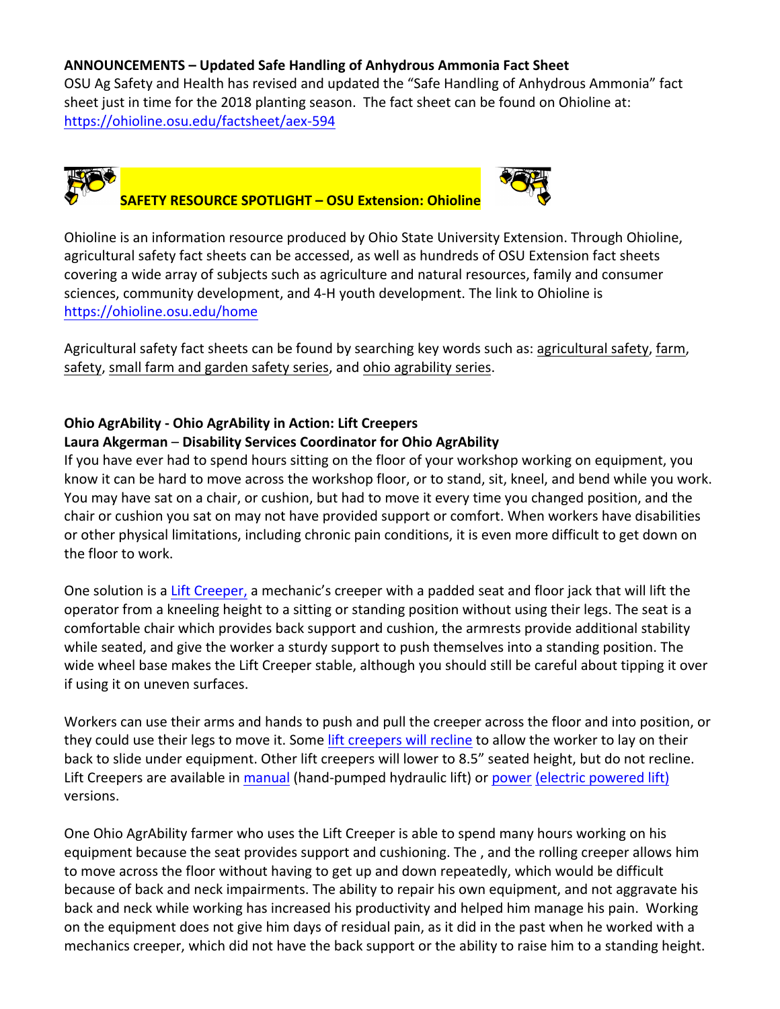#### ANNOUNCEMENTS - Updated Safe Handling of Anhydrous Ammonia Fact Sheet

OSU Ag Safety and Health has revised and updated the "Safe Handling of Anhydrous Ammonia" fact sheet just in time for the 2018 planting season. The fact sheet can be found on Ohioline at: https://ohioline.osu.edu/factsheet/aex-594



# **SAFETY RESOURCE SPOTLIGHT - OSU Extension: Ohioline**



Ohioline is an information resource produced by Ohio State University Extension. Through Ohioline, agricultural safety fact sheets can be accessed, as well as hundreds of OSU Extension fact sheets covering a wide array of subjects such as agriculture and natural resources, family and consumer sciences, community development, and 4-H youth development. The link to Ohioline is https://ohioline.osu.edu/home

Agricultural safety fact sheets can be found by searching key words such as: agricultural safety, farm, safety, small farm and garden safety series, and ohio agrability series.

## **Ohio AgrAbility - Ohio AgrAbility in Action: Lift Creepers**

## Laura Akgerman – Disability Services Coordinator for Ohio AgrAbility

If you have ever had to spend hours sitting on the floor of your workshop working on equipment, you know it can be hard to move across the workshop floor, or to stand, sit, kneel, and bend while you work. You may have sat on a chair, or cushion, but had to move it every time you changed position, and the chair or cushion you sat on may not have provided support or comfort. When workers have disabilities or other physical limitations, including chronic pain conditions, it is even more difficult to get down on the floor to work.

One solution is a Lift Creeper, a mechanic's creeper with a padded seat and floor jack that will lift the operator from a kneeling height to a sitting or standing position without using their legs. The seat is a comfortable chair which provides back support and cushion, the armrests provide additional stability while seated, and give the worker a sturdy support to push themselves into a standing position. The wide wheel base makes the Lift Creeper stable, although you should still be careful about tipping it over if using it on uneven surfaces.

Workers can use their arms and hands to push and pull the creeper across the floor and into position, or they could use their legs to move it. Some lift creepers will recline to allow the worker to lay on their back to slide under equipment. Other lift creepers will lower to 8.5" seated height, but do not recline. Lift Creepers are available in manual (hand-pumped hydraulic lift) or power (electric powered lift) versions. 

One Ohio AgrAbility farmer who uses the Lift Creeper is able to spend many hours working on his equipment because the seat provides support and cushioning. The, and the rolling creeper allows him to move across the floor without having to get up and down repeatedly, which would be difficult because of back and neck impairments. The ability to repair his own equipment, and not aggravate his back and neck while working has increased his productivity and helped him manage his pain. Working on the equipment does not give him days of residual pain, as it did in the past when he worked with a mechanics creeper, which did not have the back support or the ability to raise him to a standing height.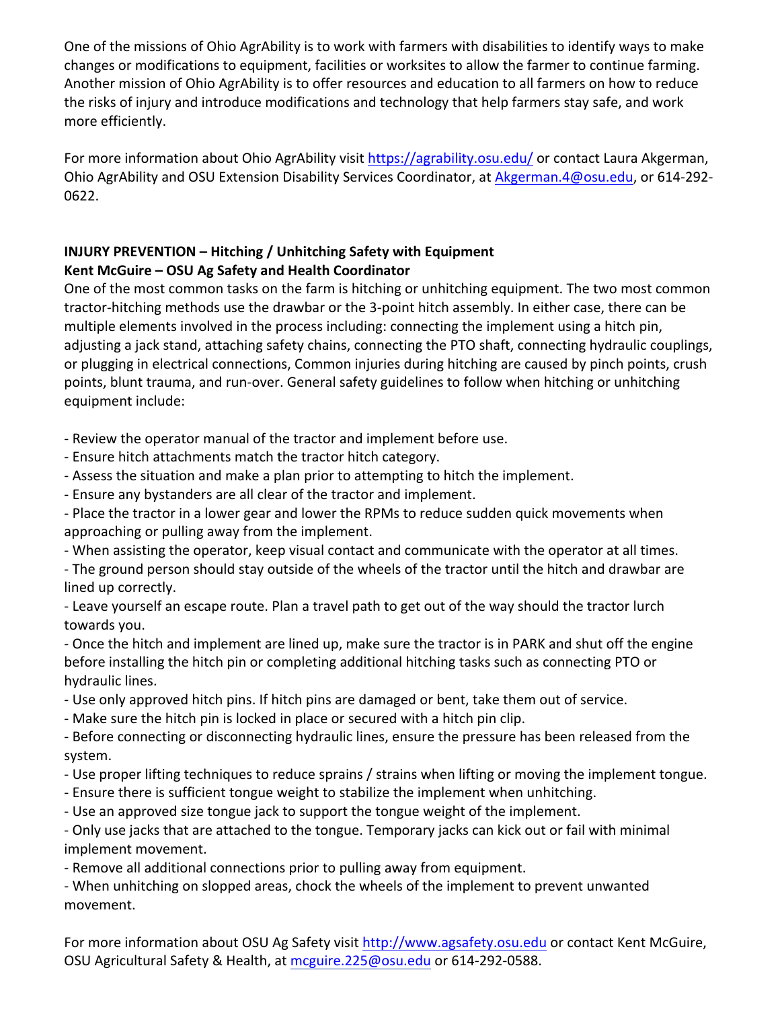One of the missions of Ohio AgrAbility is to work with farmers with disabilities to identify ways to make changes or modifications to equipment, facilities or worksites to allow the farmer to continue farming. Another mission of Ohio AgrAbility is to offer resources and education to all farmers on how to reduce the risks of injury and introduce modifications and technology that help farmers stay safe, and work more efficiently.

For more information about Ohio AgrAbility visit https://agrability.osu.edu/ or contact Laura Akgerman, Ohio AgrAbility and OSU Extension Disability Services Coordinator, at Akgerman.4@osu.edu, or 614-292-0622.

# **INJURY PREVENTION – Hitching / Unhitching Safety with Equipment Kent McGuire – OSU Ag Safety and Health Coordinator**

One of the most common tasks on the farm is hitching or unhitching equipment. The two most common tractor-hitching methods use the drawbar or the 3-point hitch assembly. In either case, there can be multiple elements involved in the process including: connecting the implement using a hitch pin, adjusting a jack stand, attaching safety chains, connecting the PTO shaft, connecting hydraulic couplings, or plugging in electrical connections, Common injuries during hitching are caused by pinch points, crush points, blunt trauma, and run-over. General safety guidelines to follow when hitching or unhitching equipment include:

- Review the operator manual of the tractor and implement before use.

- Ensure hitch attachments match the tractor hitch category.
- Assess the situation and make a plan prior to attempting to hitch the implement.
- Ensure any bystanders are all clear of the tractor and implement.
- Place the tractor in a lower gear and lower the RPMs to reduce sudden quick movements when approaching or pulling away from the implement.
- When assisting the operator, keep visual contact and communicate with the operator at all times.
- The ground person should stay outside of the wheels of the tractor until the hitch and drawbar are lined up correctly.
- Leave yourself an escape route. Plan a travel path to get out of the way should the tractor lurch towards you.

- Once the hitch and implement are lined up, make sure the tractor is in PARK and shut off the engine before installing the hitch pin or completing additional hitching tasks such as connecting PTO or hydraulic lines.

- Use only approved hitch pins. If hitch pins are damaged or bent, take them out of service.
- Make sure the hitch pin is locked in place or secured with a hitch pin clip.
- Before connecting or disconnecting hydraulic lines, ensure the pressure has been released from the system.
- Use proper lifting techniques to reduce sprains / strains when lifting or moving the implement tongue.
- Ensure there is sufficient tongue weight to stabilize the implement when unhitching.
- Use an approved size tongue jack to support the tongue weight of the implement.

- Only use jacks that are attached to the tongue. Temporary jacks can kick out or fail with minimal implement movement.

- Remove all additional connections prior to pulling away from equipment.

- When unhitching on slopped areas, chock the wheels of the implement to prevent unwanted movement.

For more information about OSU Ag Safety visit [http://www.agsafety.osu.edu](https://agsafety.osu.edu/) or contact Kent McGuire, OSU Agricultural Safety & Health, at mcguire.225@osu.edu or 614-292-0588.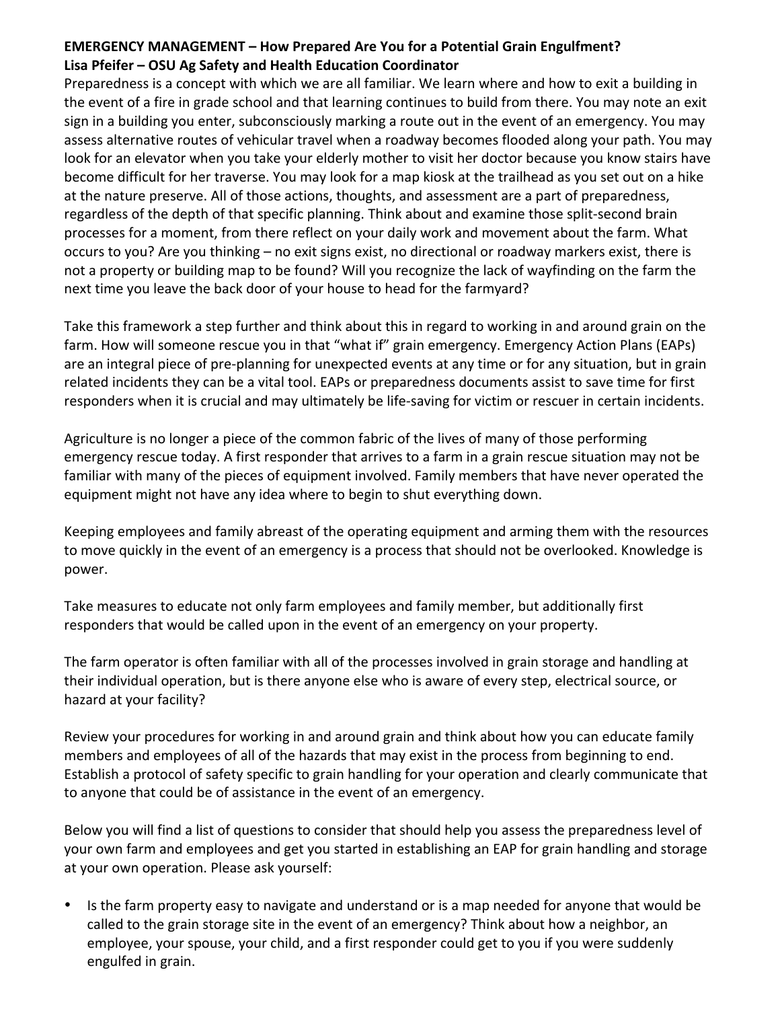## **EMERGENCY MANAGEMENT – How Prepared Are You for a Potential Grain Engulfment?** Lisa Pfeifer – OSU Ag Safety and Health Education Coordinator

Preparedness is a concept with which we are all familiar. We learn where and how to exit a building in the event of a fire in grade school and that learning continues to build from there. You may note an exit sign in a building you enter, subconsciously marking a route out in the event of an emergency. You may assess alternative routes of vehicular travel when a roadway becomes flooded along your path. You may look for an elevator when you take your elderly mother to visit her doctor because you know stairs have become difficult for her traverse. You may look for a map kiosk at the trailhead as you set out on a hike at the nature preserve. All of those actions, thoughts, and assessment are a part of preparedness, regardless of the depth of that specific planning. Think about and examine those split-second brain processes for a moment, from there reflect on your daily work and movement about the farm. What occurs to you? Are you thinking – no exit signs exist, no directional or roadway markers exist, there is not a property or building map to be found? Will you recognize the lack of wayfinding on the farm the next time you leave the back door of your house to head for the farmyard?

Take this framework a step further and think about this in regard to working in and around grain on the farm. How will someone rescue you in that "what if" grain emergency. Emergency Action Plans (EAPs) are an integral piece of pre-planning for unexpected events at any time or for any situation, but in grain related incidents they can be a vital tool. EAPs or preparedness documents assist to save time for first responders when it is crucial and may ultimately be life-saving for victim or rescuer in certain incidents.

Agriculture is no longer a piece of the common fabric of the lives of many of those performing emergency rescue today. A first responder that arrives to a farm in a grain rescue situation may not be familiar with many of the pieces of equipment involved. Family members that have never operated the equipment might not have any idea where to begin to shut everything down.

Keeping employees and family abreast of the operating equipment and arming them with the resources to move quickly in the event of an emergency is a process that should not be overlooked. Knowledge is power.

Take measures to educate not only farm employees and family member, but additionally first responders that would be called upon in the event of an emergency on your property.

The farm operator is often familiar with all of the processes involved in grain storage and handling at their individual operation, but is there anyone else who is aware of every step, electrical source, or hazard at your facility?

Review your procedures for working in and around grain and think about how you can educate family members and employees of all of the hazards that may exist in the process from beginning to end. Establish a protocol of safety specific to grain handling for your operation and clearly communicate that to anyone that could be of assistance in the event of an emergency.

Below you will find a list of questions to consider that should help you assess the preparedness level of your own farm and employees and get you started in establishing an EAP for grain handling and storage at your own operation. Please ask yourself:

Is the farm property easy to navigate and understand or is a map needed for anyone that would be called to the grain storage site in the event of an emergency? Think about how a neighbor, an employee, your spouse, your child, and a first responder could get to you if you were suddenly engulfed in grain.